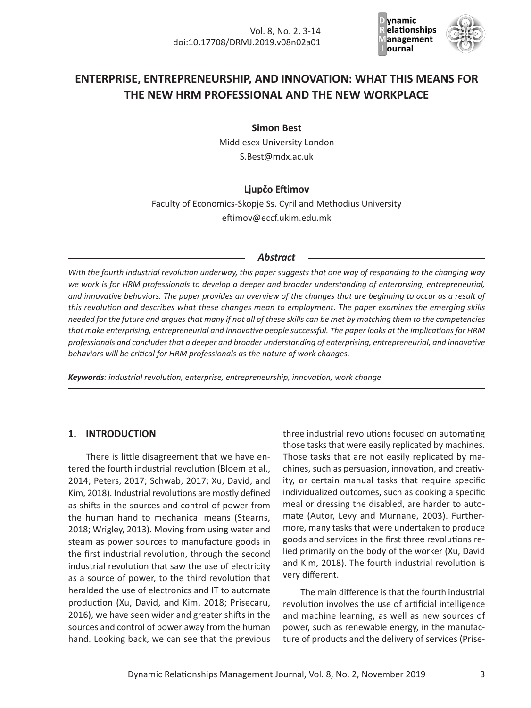

# **ENTERPRISE, ENTREPRENEURSHIP, AND INNOVATION: WHAT THIS MEANS FOR THE NEW HRM PROFESSIONAL AND THE NEW WORKPLACE**

**Simon Best**

Middlesex University London S.Best@mdx.ac.uk

### **Ljupčo Eftimov**

Faculty of Economics‐Skopje Ss. Cyril and Methodius University eftimov@eccf.ukim.edu.mk

#### *Abstract*

*With the fourth industrial revolution underway, this paper suggests that one way of responding to the changing way we work is for HRM professionals to develop a deeper and broader understanding of enterprising, entrepreneurial, and innovative behaviors. The paper provides an overview of the changes that are beginning to occur as a result of this revolution and describes what these changes mean to employment. The paper examines the emerging skills needed for the future and argues that many if not all of these skills can be met by matching them to the competencies that make enterprising, entrepreneurial and innovative people successful. The paper looks at the implications for HRM professionals and concludes that a deeper and broader understanding of enterprising, entrepreneurial, and innovative behaviors will be critical for HRM professionals as the nature of work changes.*

*Keywords: industrial revolution, enterprise, entrepreneurship, innovation, work change*

### **1. INTRODUCTION**

There is little disagreement that we have en‐ tered the fourth industrial revolution (Bloem et al., 2014; Peters, 2017; Schwab, 2017; Xu, David, and Kim, 2018). Industrial revolutions are mostly defined as shifts in the sources and control of power from the human hand to mechanical means (Stearns, 2018; Wrigley, 2013). Moving from using water and steam as power sources to manufacture goods in the first industrial revolution, through the second industrial revolution that saw the use of electricity as a source of power, to the third revolution that heralded the use of electronics and IT to automate production (Xu, David, and Kim, 2018; Prisecaru, 2016), we have seen wider and greater shifts in the sources and control of power away from the human hand. Looking back, we can see that the previous

three industrial revolutions focused on automating those tasks that were easily replicated by machines. Those tasks that are not easily replicated by ma‐ chines, such as persuasion, innovation, and creativ‐ ity, or certain manual tasks that require specific individualized outcomes, such as cooking a specific meal or dressing the disabled, are harder to auto‐ mate (Autor, Levy and Murnane, 2003). Further‐ more, many tasks that were undertaken to produce goods and services in the first three revolutions re‐ lied primarily on the body of the worker (Xu, David and Kim, 2018). The fourth industrial revolution is very different.

The main difference is that the fourth industrial revolution involves the use of artificial intelligence and machine learning, as well as new sources of power, such as renewable energy, in the manufac‐ ture of products and the delivery of services (Prise‐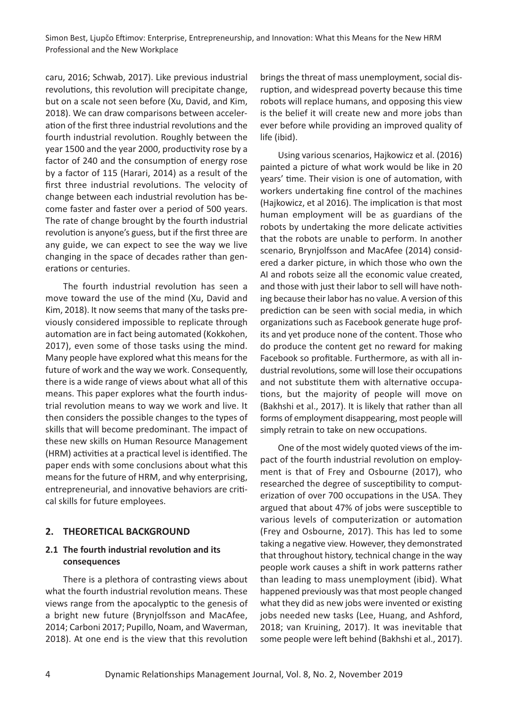caru, 2016; Schwab, 2017). Like previous industrial revolutions, this revolution will precipitate change, but on a scale not seen before (Xu, David, and Kim, 2018). We can draw comparisons between acceler‐ ation of the first three industrial revolutions and the fourth industrial revolution. Roughly between the year 1500 and the year 2000, productivity rose by a factor of 240 and the consumption of energy rose by a factor of 115 (Harari, 2014) as a result of the first three industrial revolutions. The velocity of change between each industrial revolution has be‐ come faster and faster over a period of 500 years. The rate of change brought by the fourth industrial revolution is anyone's guess, but if the first three are any guide, we can expect to see the way we live changing in the space of decades rather than gen‐ erations or centuries.

The fourth industrial revolution has seen a move toward the use of the mind (Xu, David and Kim, 2018). It now seems that many of the tasks pre‐ viously considered impossible to replicate through automation are in fact being automated (Kokkohen, 2017), even some of those tasks using the mind. Many people have explored what this means for the future of work and the way we work. Consequently, there is a wide range of views about what all of this means. This paper explores what the fourth indus‐ trial revolution means to way we work and live. It then considers the possible changes to the types of skills that will become predominant. The impact of these new skills on Human Resource Management (HRM) activities at a practical level is identified. The paper ends with some conclusions about what this means for the future of HRM, and why enterprising, entrepreneurial, and innovative behaviors are criti‐ cal skills for future employees.

### **2. THEORETICAL BACKGROUND**

### **2.1 The fourth industrial revolution and its consequences**

There is a plethora of contrasting views about what the fourth industrial revolution means. These views range from the apocalyptic to the genesis of a bright new future (Brynjolfsson and MacAfee, 2014; Carboni 2017; Pupillo, Noam, and Waverman, 2018). At one end is the view that this revolution brings the threat of mass unemployment, social dis‐ ruption, and widespread poverty because this time robots will replace humans, and opposing this view is the belief it will create new and more jobs than ever before while providing an improved quality of life (ibid).

Using various scenarios, Hajkowicz et al. (2016) painted a picture of what work would be like in 20 years' time. Their vision is one of automation, with workers undertaking fine control of the machines (Hajkowicz, et al 2016). The implication is that most human employment will be as guardians of the robots by undertaking the more delicate activities that the robots are unable to perform. In another scenario, Brynjolfsson and MacAfee (2014) consid‐ ered a darker picture, in which those who own the AI and robots seize all the economic value created, and those with just their labor to sell will have noth‐ ing because their labor has no value. A version of this prediction can be seen with social media, in which organizations such as Facebook generate huge prof‐ its and yet produce none of the content. Those who do produce the content get no reward for making Facebook so profitable. Furthermore, as with all in‐ dustrial revolutions, some will lose their occupations and not substitute them with alternative occupa‐ tions, but the majority of people will move on (Bakhshi et al., 2017). It is likely that rather than all forms of employment disappearing, most people will simply retrain to take on new occupations.

One of the most widely quoted views of the im‐ pact of the fourth industrial revolution on employment is that of Frey and Osbourne (2017), who researched the degree of susceptibility to comput‐ erization of over 700 occupations in the USA. They argued that about 47% of jobs were susceptible to various levels of computerization or automation (Frey and Osbourne, 2017). This has led to some taking a negative view. However, they demonstrated that throughout history, technical change in the way people work causes a shift in work patterns rather than leading to mass unemployment (ibid). What happened previously was that most people changed what they did as new jobs were invented or existing jobs needed new tasks (Lee, Huang, and Ashford, 2018; van Kruining, 2017). It was inevitable that some people were left behind (Bakhshi et al., 2017).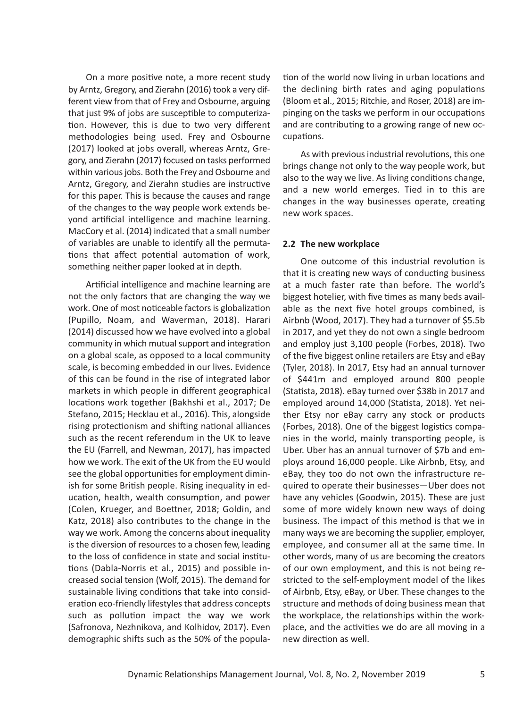On a more positive note, a more recent study by Arntz, Gregory, and Zierahn (2016) took a very dif‐ ferent view from that of Frey and Osbourne, arguing that just 9% of jobs are susceptible to computeriza‐ tion. However, this is due to two very different methodologies being used. Frey and Osbourne (2017) looked at jobs overall, whereas Arntz, Gre‐ gory, and Zierahn (2017) focused on tasks performed within various jobs. Both the Frey and Osbourne and Arntz, Gregory, and Zierahn studies are instructive for this paper. This is because the causes and range of the changes to the way people work extends be‐ yond artificial intelligence and machine learning. MacCory et al. (2014) indicated that a small number of variables are unable to identify all the permuta‐ tions that affect potential automation of work, something neither paper looked at in depth.

Artificial intelligence and machine learning are not the only factors that are changing the way we work. One of most noticeable factors is globalization (Pupillo, Noam, and Waverman, 2018). Harari (2014) discussed how we have evolved into a global community in which mutual support and integration on a global scale, as opposed to a local community scale, is becoming embedded in our lives. Evidence of this can be found in the rise of integrated labor markets in which people in different geographical locations work together (Bakhshi et al., 2017; De Stefano, 2015; Hecklau et al., 2016). This, alongside rising protectionism and shifting national alliances such as the recent referendum in the UK to leave the EU (Farrell, and Newman, 2017), has impacted how we work. The exit of the UK from the EU would see the global opportunities for employment dimin‐ ish for some British people. Rising inequality in ed‐ ucation, health, wealth consumption, and power (Colen, Krueger, and Boettner, 2018; Goldin, and Katz, 2018) also contributes to the change in the way we work. Among the concerns about inequality is the diversion of resources to a chosen few, leading to the loss of confidence in state and social institu‐ tions (Dabla‐Norris et al., 2015) and possible in‐ creased social tension (Wolf, 2015). The demand for sustainable living conditions that take into consid‐ eration eco-friendly lifestyles that address concepts such as pollution impact the way we work (Safronova, Nezhnikova, and Kolhidov, 2017). Even demographic shifts such as the 50% of the popula‐

tion of the world now living in urban locations and the declining birth rates and aging populations (Bloom et al., 2015; Ritchie, and Roser, 2018) are im‐ pinging on the tasks we perform in our occupations and are contributing to a growing range of new oc‐ cupations.

As with previous industrial revolutions, this one brings change not only to the way people work, but also to the way we live. As living conditions change, and a new world emerges. Tied in to this are changes in the way businesses operate, creating new work spaces.

#### **2.2 The new workplace**

One outcome of this industrial revolution is that it is creating new ways of conducting business at a much faster rate than before. The world's biggest hotelier, with five times as many beds avail‐ able as the next five hotel groups combined, is Airbnb (Wood, 2017). They had a turnover of \$5.5b in 2017, and yet they do not own a single bedroom and employ just 3,100 people (Forbes, 2018). Two of the five biggest online retailers are Etsy and eBay (Tyler, 2018). In 2017, Etsy had an annual turnover of \$441m and employed around 800 people (Statista, 2018). eBay turned over \$38b in 2017 and employed around 14,000 (Statista, 2018). Yet nei‐ ther Etsy nor eBay carry any stock or products (Forbes, 2018). One of the biggest logistics compa‐ nies in the world, mainly transporting people, is Uber. Uber has an annual turnover of \$7b and em‐ ploys around 16,000 people. Like Airbnb, Etsy, and eBay, they too do not own the infrastructure re‐ quired to operate their businesses—Uber does not have any vehicles (Goodwin, 2015). These are just some of more widely known new ways of doing business. The impact of this method is that we in many ways we are becoming the supplier, employer, employee, and consumer all at the same time. In other words, many of us are becoming the creators of our own employment, and this is not being re‐ stricted to the self‐employment model of the likes of Airbnb, Etsy, eBay, or Uber. These changes to the structure and methods of doing business mean that the workplace, the relationships within the work‐ place, and the activities we do are all moving in a new direction as well.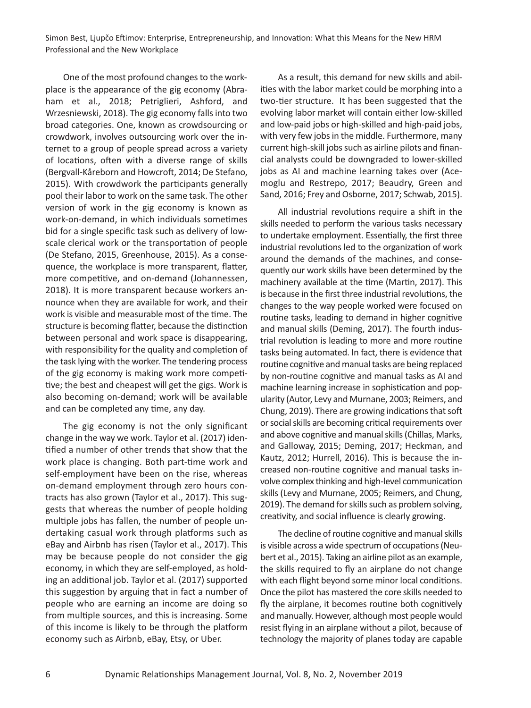One of the most profound changes to the work‐ place is the appearance of the gig economy (Abra‐ ham et al., 2018; Petriglieri, Ashford, and Wrzesniewski, 2018). The gig economy falls into two broad categories. One, known as crowdsourcing or crowdwork, involves outsourcing work over the in‐ ternet to a group of people spread across a variety of locations, often with a diverse range of skills (Bergvall‐Kåreborn and Howcroft, 2014; De Stefano, 2015). With crowdwork the participants generally pool their labor to work on the same task. The other version of work in the gig economy is known as work‐on‐demand, in which individuals sometimes bid for a single specific task such as delivery of low‐ scale clerical work or the transportation of people (De Stefano, 2015, Greenhouse, 2015). As a conse‐ quence, the workplace is more transparent, flatter, more competitive, and on‐demand (Johannessen, 2018). It is more transparent because workers an‐ nounce when they are available for work, and their work is visible and measurable most of the time. The structure is becoming flatter, because the distinction between personal and work space is disappearing, with responsibility for the quality and completion of the task lying with the worker. The tendering process of the gig economy is making work more competi‐ tive; the best and cheapest will get the gigs. Work is also becoming on‐demand; work will be available and can be completed any time, any day.

The gig economy is not the only significant change in the way we work. Taylor et al. (2017) iden‐ tified a number of other trends that show that the work place is changing. Both part-time work and self-employment have been on the rise, whereas on‐demand employment through zero hours con‐ tracts has also grown (Taylor et al., 2017). This sug‐ gests that whereas the number of people holding multiple jobs has fallen, the number of people un‐ dertaking casual work through platforms such as eBay and Airbnb has risen (Taylor et al., 2017). This may be because people do not consider the gig economy, in which they are self‐employed, as hold‐ ing an additional job. Taylor et al. (2017) supported this suggestion by arguing that in fact a number of people who are earning an income are doing so from multiple sources, and this is increasing. Some of this income is likely to be through the platform economy such as Airbnb, eBay, Etsy, or Uber.

As a result, this demand for new skills and abil‐ ities with the labor market could be morphing into a two‐tier structure. It has been suggested that the evolving labor market will contain either low‐skilled and low‐paid jobs or high‐skilled and high‐paid jobs, with very few jobs in the middle. Furthermore, many current high‐skill jobs such as airline pilots and finan‐ cial analysts could be downgraded to lower‐skilled jobs as AI and machine learning takes over (Ace‐ moglu and Restrepo, 2017; Beaudry, Green and Sand, 2016; Frey and Osborne, 2017; Schwab, 2015).

All industrial revolutions require a shift in the skills needed to perform the various tasks necessary to undertake employment. Essentially, the first three industrial revolutions led to the organization of work around the demands of the machines, and conse‐ quently our work skills have been determined by the machinery available at the time (Martin, 2017). This is because in the first three industrial revolutions, the changes to the way people worked were focused on routine tasks, leading to demand in higher cognitive and manual skills (Deming, 2017). The fourth indus‐ trial revolution is leading to more and more routine tasks being automated. In fact, there is evidence that routine cognitive and manual tasks are being replaced by non‐routine cognitive and manual tasks as AI and machine learning increase in sophistication and pop‐ ularity (Autor, Levy and Murnane, 2003; Reimers, and Chung, 2019). There are growing indications that soft or social skills are becoming critical requirements over and above cognitive and manual skills (Chillas, Marks, and Galloway, 2015; Deming, 2017; Heckman, and Kautz, 2012; Hurrell, 2016). This is because the in‐ creased non‐routine cognitive and manual tasks in‐ volve complex thinking and high‐level communication skills (Levy and Murnane, 2005; Reimers, and Chung, 2019). The demand for skills such as problem solving, creativity, and social influence is clearly growing.

The decline of routine cognitive and manual skills is visible across a wide spectrum of occupations (Neu‐ bert et al., 2015). Taking an airline pilot as an example, the skills required to fly an airplane do not change with each flight beyond some minor local conditions. Once the pilot has mastered the core skills needed to fly the airplane, it becomes routine both cognitively and manually. However, although most people would resist flying in an airplane without a pilot, because of technology the majority of planes today are capable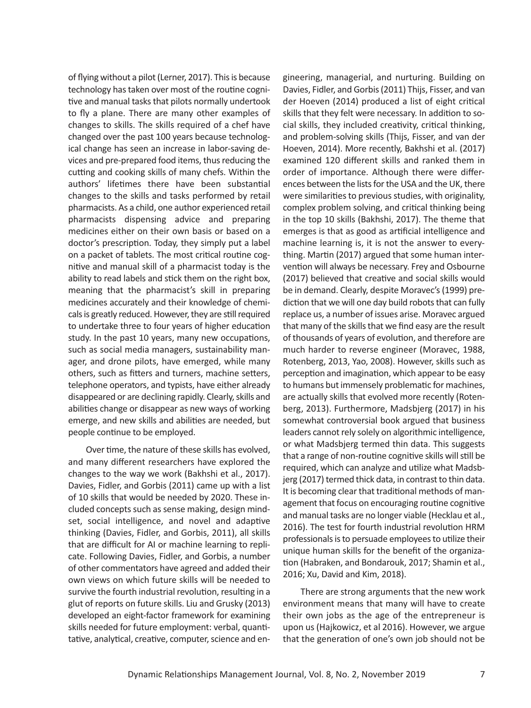of flying without a pilot (Lerner, 2017). This is because technology has taken over most of the routine cogni‐ tive and manual tasks that pilots normally undertook to fly a plane. There are many other examples of changes to skills. The skills required of a chef have changed over the past 100 years because technolog‐ ical change has seen an increase in labor‐saving de‐ vices and pre‐prepared food items, thus reducing the cutting and cooking skills of many chefs. Within the authors' lifetimes there have been substantial changes to the skills and tasks performed by retail pharmacists. As a child, one author experienced retail pharmacists dispensing advice and preparing medicines either on their own basis or based on a doctor's prescription. Today, they simply put a label on a packet of tablets. The most critical routine cog‐ nitive and manual skill of a pharmacist today is the ability to read labels and stick them on the right box, meaning that the pharmacist's skill in preparing medicines accurately and their knowledge of chemi‐ cals is greatly reduced. However, they are still required to undertake three to four years of higher education study. In the past 10 years, many new occupations, such as social media managers, sustainability man‐ ager, and drone pilots, have emerged, while many others, such as fitters and turners, machine setters, telephone operators, and typists, have either already disappeared or are declining rapidly. Clearly, skills and abilities change or disappear as new ways of working emerge, and new skills and abilities are needed, but people continue to be employed.

Over time, the nature of these skills has evolved, and many different researchers have explored the changes to the way we work (Bakhshi et al., 2017). Davies, Fidler, and Gorbis (2011) came up with a list of 10 skills that would be needed by 2020. These in‐ cluded concepts such as sense making, design mind‐ set, social intelligence, and novel and adaptive thinking (Davies, Fidler, and Gorbis, 2011), all skills that are difficult for AI or machine learning to repli‐ cate. Following Davies, Fidler, and Gorbis, a number of other commentators have agreed and added their own views on which future skills will be needed to survive the fourth industrial revolution, resulting in a glut of reports on future skills. Liu and Grusky (2013) developed an eight‐factor framework for examining skills needed for future employment: verbal, quanti‐ tative, analytical, creative, computer, science and en‐

gineering, managerial, and nurturing. Building on Davies, Fidler, and Gorbis (2011) Thijs, Fisser, and van der Hoeven (2014) produced a list of eight critical skills that they felt were necessary. In addition to so‐ cial skills, they included creativity, critical thinking, and problem‐solving skills (Thijs, Fisser, and van der Hoeven, 2014). More recently, Bakhshi et al. (2017) examined 120 different skills and ranked them in order of importance. Although there were differ‐ ences between the lists for the USA and the UK, there were similarities to previous studies, with originality, complex problem solving, and critical thinking being in the top 10 skills (Bakhshi, 2017). The theme that emerges is that as good as artificial intelligence and machine learning is, it is not the answer to every‐ thing. Martin (2017) argued that some human inter‐ vention will always be necessary. Frey and Osbourne (2017) believed that creative and social skills would be in demand. Clearly, despite Moravec's (1999) pre‐ diction that we will one day build robots that can fully replace us, a number of issues arise. Moravec argued that many of the skills that we find easy are the result of thousands of years of evolution, and therefore are much harder to reverse engineer (Moravec, 1988, Rotenberg, 2013, Yao, 2008). However, skills such as perception and imagination, which appear to be easy to humans but immensely problematic for machines, are actually skills that evolved more recently (Roten‐ berg, 2013). Furthermore, Madsbjerg (2017) in his somewhat controversial book argued that business leaders cannot rely solely on algorithmic intelligence, or what Madsbjerg termed thin data. This suggests that a range of non‐routine cognitive skills will still be required, which can analyze and utilize what Madsb‐ jerg (2017) termed thick data, in contrast to thin data. It is becoming clear that traditional methods of man‐ agement that focus on encouraging routine cognitive and manual tasks are no longer viable (Hecklau et al., 2016). The test for fourth industrial revolution HRM professionals is to persuade employees to utilize their unique human skills for the benefit of the organiza‐ tion (Habraken, and Bondarouk, 2017; Shamin et al., 2016; Xu, David and Kim, 2018).

There are strong arguments that the new work environment means that many will have to create their own jobs as the age of the entrepreneur is upon us (Hajkowicz, et al 2016). However, we argue that the generation of one's own job should not be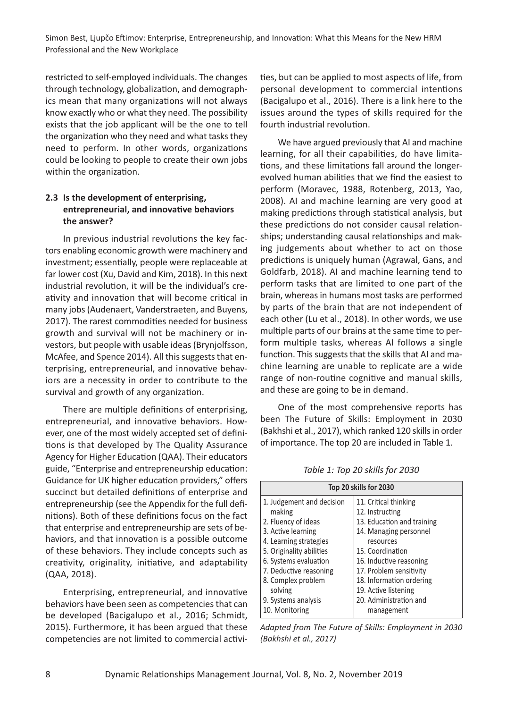restricted to self‐employed individuals. The changes through technology, globalization, and demograph‐ ics mean that many organizations will not always know exactly who or what they need. The possibility exists that the job applicant will be the one to tell the organization who they need and what tasks they need to perform. In other words, organizations could be looking to people to create their own jobs within the organization.

# **2.3 Is the development of enterprising, entrepreneurial, and innovative behaviors the answer?**

In previous industrial revolutions the key fac‐ tors enabling economic growth were machinery and investment; essentially, people were replaceable at far lower cost (Xu, David and Kim, 2018). In this next industrial revolution, it will be the individual's cre‐ ativity and innovation that will become critical in many jobs (Audenaert, Vanderstraeten, and Buyens, 2017). The rarest commodities needed for business growth and survival will not be machinery or in‐ vestors, but people with usable ideas (Brynjolfsson, McAfee, and Spence 2014). All this suggests that en‐ terprising, entrepreneurial, and innovative behaviors are a necessity in order to contribute to the survival and growth of any organization.

There are multiple definitions of enterprising, entrepreneurial, and innovative behaviors. How‐ ever, one of the most widely accepted set of defini‐ tions is that developed by The Quality Assurance Agency for Higher Education (QAA). Their educators guide, "Enterprise and entrepreneurship education: Guidance for UK higher education providers," offers succinct but detailed definitions of enterprise and entrepreneurship (see the Appendix for the full defi‐ nitions). Both of these definitions focus on the fact that enterprise and entrepreneurship are sets of be‐ haviors, and that innovation is a possible outcome of these behaviors. They include concepts such as creativity, originality, initiative, and adaptability (QAA, 2018).

Enterprising, entrepreneurial, and innovative behaviors have been seen as competencies that can be developed (Bacigalupo et al., 2016; Schmidt, 2015). Furthermore, it has been argued that these competencies are not limited to commercial activi‐ ties, but can be applied to most aspects of life, from personal development to commercial intentions (Bacigalupo et al., 2016). There is a link here to the issues around the types of skills required for the fourth industrial revolution.

We have argued previously that AI and machine learning, for all their capabilities, do have limitations, and these limitations fall around the longer‐ evolved human abilities that we find the easiest to perform (Moravec, 1988, Rotenberg, 2013, Yao, 2008). AI and machine learning are very good at making predictions through statistical analysis, but these predictions do not consider causal relation‐ ships; understanding causal relationships and mak‐ ing judgements about whether to act on those predictions is uniquely human (Agrawal, Gans, and Goldfarb, 2018). AI and machine learning tend to perform tasks that are limited to one part of the brain, whereas in humans most tasks are performed by parts of the brain that are not independent of each other (Lu et al., 2018). In other words, we use multiple parts of our brains at the same time to per‐ form multiple tasks, whereas AI follows a single function. This suggests that the skills that AI and ma‐ chine learning are unable to replicate are a wide range of non‐routine cognitive and manual skills, and these are going to be in demand.

One of the most comprehensive reports has been The Future of Skills: Employment in 2030 (Bakhshi et al., 2017), which ranked 120 skills in order of importance. The top 20 are included in Table 1.

| Top 20 skills for 2030                                                                                                                                                                                                                            |                                                                                                                                                                                                                                                                       |  |  |  |
|---------------------------------------------------------------------------------------------------------------------------------------------------------------------------------------------------------------------------------------------------|-----------------------------------------------------------------------------------------------------------------------------------------------------------------------------------------------------------------------------------------------------------------------|--|--|--|
| 1. Judgement and decision<br>making<br>2. Fluency of ideas<br>3. Active learning<br>4. Learning strategies<br>5. Originality abilities<br>6. Systems evaluation<br>7. Deductive reasoning<br>8. Complex problem<br>solving<br>9. Systems analysis | 11. Critical thinking<br>12. Instructing<br>13. Education and training<br>14. Managing personnel<br>resources<br>15. Coordination<br>16. Inductive reasoning<br>17. Problem sensitivity<br>18. Information ordering<br>19. Active listening<br>20. Administration and |  |  |  |
| 10. Monitoring                                                                                                                                                                                                                                    | management                                                                                                                                                                                                                                                            |  |  |  |

*Table 1: Top 20 skills for 2030*

*Adapted from The Future of Skills: Employment in 2030 (Bakhshi et al., 2017)*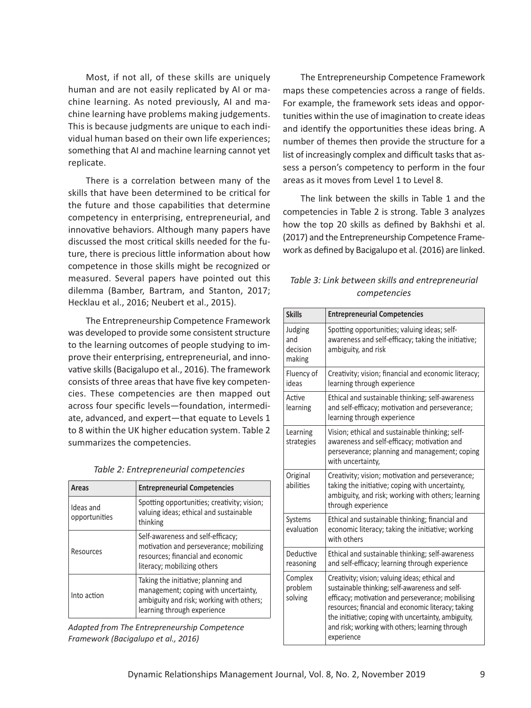Most, if not all, of these skills are uniquely human and are not easily replicated by AI or ma‐ chine learning. As noted previously, AI and ma‐ chine learning have problems making judgements. This is because judgments are unique to each indi‐ vidual human based on their own life experiences; something that AI and machine learning cannot yet replicate.

There is a correlation between many of the skills that have been determined to be critical for the future and those capabilities that determine competency in enterprising, entrepreneurial, and innovative behaviors. Although many papers have discussed the most critical skills needed for the fu‐ ture, there is precious little information about how competence in those skills might be recognized or measured. Several papers have pointed out this dilemma (Bamber, Bartram, and Stanton, 2017; Hecklau et al., 2016; Neubert et al., 2015).

The Entrepreneurship Competence Framework was developed to provide some consistent structure to the learning outcomes of people studying to im‐ prove their enterprising, entrepreneurial, and inno‐ vative skills (Bacigalupo et al., 2016). The framework consists of three areas that have five key competen‐ cies. These competencies are then mapped out across four specific levels—foundation, intermedi‐ ate, advanced, and expert—that equate to Levels 1 to 8 within the UK higher education system. Table 2 summarizes the competencies.

| Areas                      | <b>Entrepreneurial Competencies</b>                                                                                                                    |
|----------------------------|--------------------------------------------------------------------------------------------------------------------------------------------------------|
| Ideas and<br>opportunities | Spotting opportunities; creativity; vision;<br>valuing ideas; ethical and sustainable<br>thinking                                                      |
| Resources                  | Self-awareness and self-efficacy;<br>motivation and perseverance; mobilizing<br>resources; financial and economic<br>literacy; mobilizing others       |
| Into action                | Taking the initiative; planning and<br>management; coping with uncertainty,<br>ambiguity and risk; working with others;<br>learning through experience |

*Table 2: Entrepreneurial competencies*

*Adapted from The Entrepreneurship Competence Framework (Bacigalupo et al., 2016)*

The Entrepreneurship Competence Framework maps these competencies across a range of fields. For example, the framework sets ideas and oppor‐ tunities within the use of imagination to create ideas and identify the opportunities these ideas bring. A number of themes then provide the structure for a list of increasingly complex and difficult tasks that as‐ sess a person's competency to perform in the four areas as it moves from Level 1 to Level 8.

The link between the skills in Table 1 and the competencies in Table 2 is strong. Table 3 analyzes how the top 20 skills as defined by Bakhshi et al. (2017) and the Entrepreneurship Competence Frame‐ work as defined by Bacigalupo et al. (2016) are linked.

|  |  |              | Table 3: Link between skills and entrepreneurial |  |
|--|--|--------------|--------------------------------------------------|--|
|  |  | competencies |                                                  |  |

| <b>Skills</b>                        | <b>Entrepreneurial Competencies</b>                                                                                                                                                                                                                                                                                                 |
|--------------------------------------|-------------------------------------------------------------------------------------------------------------------------------------------------------------------------------------------------------------------------------------------------------------------------------------------------------------------------------------|
| Judging<br>and<br>decision<br>making | Spotting opportunities; valuing ideas; self-<br>awareness and self-efficacy; taking the initiative;<br>ambiguity, and risk                                                                                                                                                                                                          |
| Fluency of<br>ideas                  | Creativity; vision; financial and economic literacy;<br>learning through experience                                                                                                                                                                                                                                                 |
| Active<br>learning                   | Ethical and sustainable thinking; self-awareness<br>and self-efficacy; motivation and perseverance;<br>learning through experience                                                                                                                                                                                                  |
| Learning<br>strategies               | Vision; ethical and sustainable thinking; self-<br>awareness and self-efficacy; motivation and<br>perseverance; planning and management; coping<br>with uncertainty,                                                                                                                                                                |
| Original<br>abilities                | Creativity; vision; motivation and perseverance;<br>taking the initiative; coping with uncertainty,<br>ambiguity, and risk; working with others; learning<br>through experience                                                                                                                                                     |
| Systems<br>evaluation                | Ethical and sustainable thinking; financial and<br>economic literacy; taking the initiative; working<br>with others                                                                                                                                                                                                                 |
| Deductive<br>reasoning               | Ethical and sustainable thinking; self-awareness<br>and self-efficacy; learning through experience                                                                                                                                                                                                                                  |
| Complex<br>problem<br>solving        | Creativity; vision; valuing ideas; ethical and<br>sustainable thinking; self-awareness and self-<br>efficacy; motivation and perseverance; mobilising<br>resources; financial and economic literacy; taking<br>the initiative; coping with uncertainty, ambiguity,<br>and risk; working with others; learning through<br>experience |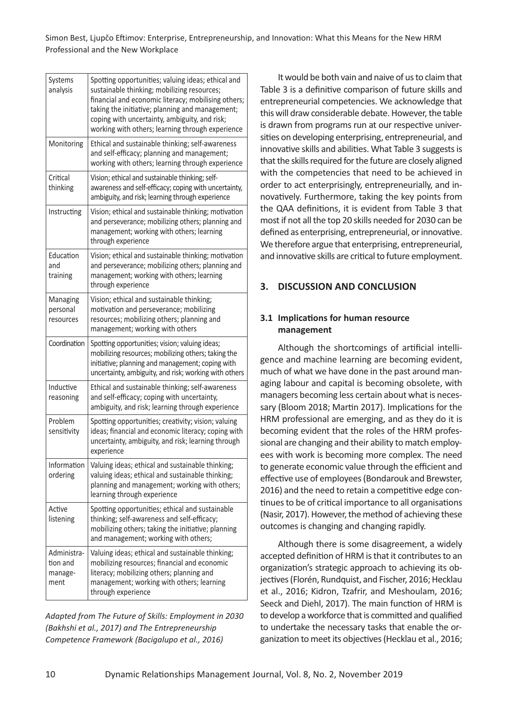| Systems<br>analysis                        | Spotting opportunities; valuing ideas; ethical and<br>sustainable thinking; mobilizing resources;<br>financial and economic literacy; mobilising others;<br>taking the initiative; planning and management;<br>coping with uncertainty, ambiguity, and risk;<br>working with others; learning through experience |
|--------------------------------------------|------------------------------------------------------------------------------------------------------------------------------------------------------------------------------------------------------------------------------------------------------------------------------------------------------------------|
| Monitoring                                 | Ethical and sustainable thinking; self-awareness<br>and self-efficacy; planning and management;<br>working with others; learning through experience                                                                                                                                                              |
| Critical<br>thinking                       | Vision; ethical and sustainable thinking; self-<br>awareness and self-efficacy; coping with uncertainty,<br>ambiguity, and risk; learning through experience                                                                                                                                                     |
| Instructing                                | Vision; ethical and sustainable thinking; motivation<br>and perseverance; mobilizing others; planning and<br>management; working with others; learning<br>through experience                                                                                                                                     |
| Education<br>and<br>training               | Vision; ethical and sustainable thinking; motivation<br>and perseverance; mobilizing others; planning and<br>management; working with others; learning<br>through experience                                                                                                                                     |
| Managing<br>personal<br>resources          | Vision; ethical and sustainable thinking;<br>motivation and perseverance; mobilizing<br>resources; mobilizing others; planning and<br>management; working with others                                                                                                                                            |
| Coordination                               | Spotting opportunities; vision; valuing ideas;<br>mobilizing resources; mobilizing others; taking the<br>initiative; planning and management; coping with<br>uncertainty, ambiguity, and risk; working with others                                                                                               |
| Inductive<br>reasoning                     | Ethical and sustainable thinking; self-awareness<br>and self-efficacy; coping with uncertainty,<br>ambiguity, and risk; learning through experience                                                                                                                                                              |
| Problem<br>sensitivity                     | Spotting opportunities; creativity; vision; valuing<br>ideas; financial and economic literacy; coping with<br>uncertainty, ambiguity, and risk; learning through<br>experience                                                                                                                                   |
| Information<br>ordering                    | Valuing ideas; ethical and sustainable thinking;<br>valuing ideas; ethical and sustainable thinking;<br>planning and management; working with others;<br>learning through experience                                                                                                                             |
| Active<br>listening                        | Spotting opportunities; ethical and sustainable<br>thinking; self-awareness and self-efficacy;<br>mobilizing others; taking the initiative; planning<br>and management; working with others;                                                                                                                     |
| Administra-<br>tion and<br>manage-<br>ment | Valuing ideas; ethical and sustainable thinking;<br>mobilizing resources; financial and economic<br>literacy; mobilizing others; planning and<br>management; working with others; learning<br>through experience                                                                                                 |

*Adapted from The Future of Skills: Employment in 2030 (Bakhshi et al., 2017) and The Entrepreneurship Competence Framework (Bacigalupo et al., 2016)*

It would be both vain and naive of us to claim that Table 3 is a definitive comparison of future skills and entrepreneurial competencies. We acknowledge that this will draw considerable debate. However, the table is drawn from programs run at our respective univer‐ sities on developing enterprising, entrepreneurial, and innovative skills and abilities. What Table 3 suggests is that the skills required for the future are closely aligned with the competencies that need to be achieved in order to act enterprisingly, entrepreneurially, and in‐ novatively. Furthermore, taking the key points from the QAA definitions, it is evident from Table 3 that most if not all the top 20 skills needed for 2030 can be defined as enterprising, entrepreneurial, or innovative. We therefore argue that enterprising, entrepreneurial, and innovative skills are critical to future employment.

# **3. DISCUSSION AND CONCLUSION**

# **3.1 Implications for human resource management**

Although the shortcomings of artificial intelli‐ gence and machine learning are becoming evident, much of what we have done in the past around managing labour and capital is becoming obsolete, with managers becoming less certain about what is neces‐ sary (Bloom 2018; Martin 2017). Implications for the HRM professional are emerging, and as they do it is becoming evident that the roles of the HRM profes‐ sional are changing and their ability to match employ‐ ees with work is becoming more complex. The need to generate economic value through the efficient and effective use of employees (Bondarouk and Brewster, 2016) and the need to retain a competitive edge con‐ tinues to be of critical importance to all organisations (Nasir, 2017). However, the method of achieving these outcomes is changing and changing rapidly.

Although there is some disagreement, a widely accepted definition of HRM is that it contributes to an organization's strategic approach to achieving its ob‐ jectives (Florén, Rundquist, and Fischer, 2016; Hecklau et al., 2016; Kidron, Tzafrir, and Meshoulam, 2016; Seeck and Diehl, 2017). The main function of HRM is to develop a workforce that is committed and qualified to undertake the necessary tasks that enable the or‐ ganization to meet its objectives (Hecklau et al., 2016;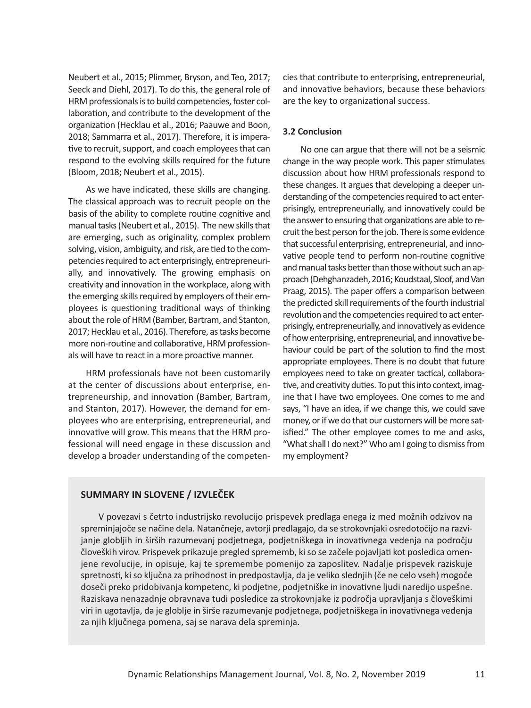Neubert et al., 2015; Plimmer, Bryson, and Teo, 2017; Seeck and Diehl, 2017). To do this, the general role of HRM professionals is to build competencies, foster col‐ laboration, and contribute to the development of the organization (Hecklau et al., 2016; Paauwe and Boon, 2018; Sammarra et al., 2017). Therefore, it is impera‐ tive to recruit, support, and coach employees that can respond to the evolving skills required for the future (Bloom, 2018; Neubert et al., 2015).

As we have indicated, these skills are changing. The classical approach was to recruit people on the basis of the ability to complete routine cognitive and manual tasks (Neubert et al., 2015). The new skills that are emerging, such as originality, complex problem solving, vision, ambiguity, and risk, are tied to the com‐ petencies required to act enterprisingly, entrepreneuri‐ ally, and innovatively. The growing emphasis on creativity and innovation in the workplace, along with the emerging skills required by employers of their em‐ ployees is questioning traditional ways of thinking about the role of HRM (Bamber, Bartram, and Stanton, 2017; Hecklau et al., 2016). Therefore, as tasks become more non‐routine and collaborative, HRM profession‐ als will have to react in a more proactive manner.

HRM professionals have not been customarily at the center of discussions about enterprise, en‐ trepreneurship, and innovation (Bamber, Bartram, and Stanton, 2017). However, the demand for em‐ ployees who are enterprising, entrepreneurial, and innovative will grow. This means that the HRM pro‐ fessional will need engage in these discussion and develop a broader understanding of the competen‐

cies that contribute to enterprising, entrepreneurial, and innovative behaviors, because these behaviors are the key to organizational success.

#### **3.2 Conclusion**

No one can argue that there will not be a seismic change in the way people work. This paper stimulates discussion about how HRM professionals respond to these changes. It argues that developing a deeper un‐ derstanding of the competencies required to act enter‐ prisingly, entrepreneurially, and innovatively could be the answer to ensuring that organizations are able to re‐ cruit the best person for the job. There is some evidence that successful enterprising, entrepreneurial, and inno‐ vative people tend to perform non‐routine cognitive and manual tasks better than those without such an ap‐ proach (Dehghanzadeh, 2016; Koudstaal, Sloof, and Van Praag, 2015). The paper offers a comparison between the predicted skill requirements of the fourth industrial revolution and the competencies required to act enter‐ prisingly, entrepreneurially, and innovatively as evidence of how enterprising, entrepreneurial, and innovative be‐ haviour could be part of the solution to find the most appropriate employees. There is no doubt that future employees need to take on greater tactical, collabora‐ tive, and creativity duties. To put this into context, imag‐ ine that I have two employees. One comes to me and says, "I have an idea, if we change this, we could save money, or if we do that our customers will be more satisfied." The other employee comes to me and asks, "What shall I do next?" Who am I going to dismiss from my employment?

### **SUMMARY IN SLOVENE / IZVLEČEK**

V povezavi s četrto industrijsko revolucijo prispevek predlaga enega iz med možnih odzivov na spreminjajoče se načine dela. Natančneje, avtorji predlagajo, da se strokovnjaki osredotočijo na razvi‐ janje globljih in širših razumevanj podjetnega, podjetniškega in inovativnega vedenja na področju človeških virov. Prispevek prikazuje pregled sprememb, ki so se začele pojavljati kot posledica omen‐ jene revolucije, in opisuje, kaj te spremembe pomenijo za zaposlitev. Nadalje prispevek raziskuje spretnosti, ki so ključna za prihodnost in predpostavlja, da je veliko slednjih (če ne celo vseh) mogoče doseči preko pridobivanja kompetenc, ki podjetne, podjetniške in inovativne ljudi naredijo uspešne. Raziskava nenazadnje obravnava tudi posledice za strokovnjake iz področja upravljanja s človeškimi viri in ugotavlja, da je globlje in širše razumevanje podjetnega, podjetniškega in inovativnega vedenja za njih ključnega pomena, saj se narava dela spreminja.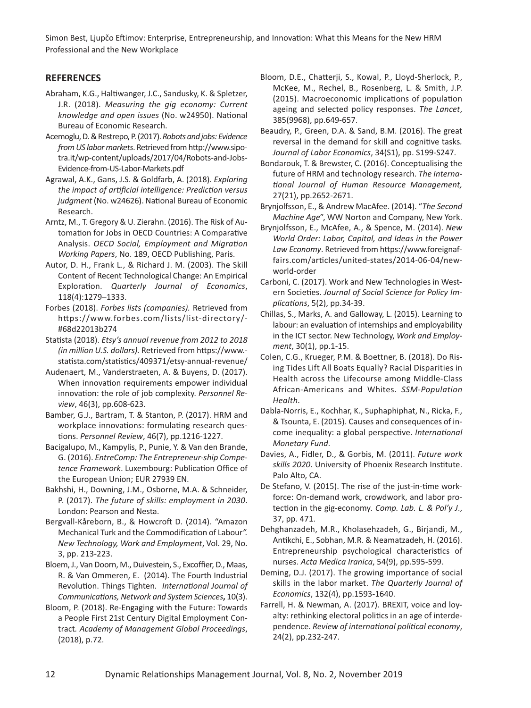### **REFERENCES**

- Abraham, K.G., Haltiwanger, J.C., Sandusky, K. & Spletzer, J.R. (2018). *Measuring the gig economy: Current knowledge and open issues* (No. w24950). National Bureau of Economic Research.
- Acemoglu, D. & Restrepo, P. (2017). *Robots and jobs: Evidence from US labor markets*. Retrieved from http://www.sipo‐ tra.it/wp-content/uploads/2017/04/Robots-and-Jobs-Evidence‐from‐US‐Labor‐Markets.pdf
- Agrawal, A.K., Gans, J.S. & Goldfarb, A. (2018). *Exploring the impact of artificial intelligence: Prediction versus judgment* (No. w24626). National Bureau of Economic Research.
- Arntz, M., T. Gregory & U. Zierahn. (2016). The Risk of Au‐ tomation for Jobs in OECD Countries: A Comparative Analysis. *OECD Social, Employment and Migration Working Papers*, No. 189, OECD Publishing, Paris.
- Autor, D. H., Frank L., & Richard J. M. (2003). The Skill Content of Recent Technological Change: An Empirical Exploration. *Quarterly Journal of Economics*, 118(4):1279–1333.
- Forbes (2018). *Forbes lists (companies).* Retrieved from https://www.forbes.com/lists/list-directory/-#68d22013b274
- Statista (2018). *Etsy's annual revenue from 2012 to 2018 (in million U.S. dollars).* Retrieved from https://www. ‐ statista.com/statistics/409371/etsy‐annual‐revenue/
- Audenaert, M., Vanderstraeten, A. & Buyens, D. (2017). When innovation requirements empower individual innovation: the role of job complexity. *Personnel Re‐ view*, 46(3), pp.608‐623.
- Bamber, G.J., Bartram, T. & Stanton, P. (2017). HRM and workplace innovations: formulating research questions. *Personnel Review*, 46(7), pp.1216‐1227.
- Bacigalupo, M., Kampylis, P., Punie, Y. & Van den Brande, G. (2016). *EntreComp: The Entrepreneur‐ship Compe‐ tence Framework*. Luxembourg: Publication Office of the European Union; EUR 27939 EN.
- Bakhshi, H., Downing, J.M., Osborne, M.A. & Schneider, P. (2017). *The future of skills: employment in 2030*. London: Pearson and Nesta.
- Bergvall‐Kåreborn, B., & Howcroft D. (2014). "Amazon Mechanical Turk and the Commodification of Labour*". New Technology, Work and Employment*, Vol. 29, No. 3, pp. 213‐223.
- Bloem, J., Van Doorn, M., Duivestein, S., Excoffier, D., Maas, R. & Van Ommeren, E. (2014). The Fourth Industrial Revolution. Things Tighten*. International Journal of Communications, Network and System Sciences***,** 10(3).
- Bloom, P. (2018). Re‐Engaging with the Future: Towards a People First 21st Century Digital Employment Con‐ tract*. Academy of Management Global Proceedings*, (2018), p.72.
- Bloom, D.E., Chatterji, S., Kowal, P., Lloyd‐Sherlock, P., McKee, M., Rechel, B., Rosenberg, L. & Smith, J.P. (2015). Macroeconomic implications of population ageing and selected policy responses. *The Lancet*, 385(9968), pp.649‐657.
- Beaudry, P., Green, D.A. & Sand, B.M. (2016). The great reversal in the demand for skill and cognitive tasks*. Journal of Labor Economics*, 34(S1), pp. S199‐S247.
- Bondarouk, T. & Brewster, C. (2016). Conceptualising the future of HRM and technology research. *The Interna‐ tional Journal of Human Resource Management,* 27(21), pp.2652‐2671.
- Brynjolfsson, E., & Andrew MacAfee. (2014). "*The Second Machine Age*", WW Norton and Company, New York.
- Brynjolfsson, E., McAfee, A., & Spence, M. (2014). *New World Order: Labor, Capital, and Ideas in the Power Law Economy*. Retrieved from https://www.foreignaf‐ fairs.com/articles/united‐states/2014‐06‐04/new‐ world‐order
- Carboni, C. (2017). Work and New Technologies in West‐ ern Societies. *Journal of Social Science for Policy Im‐ plications*, 5(2), pp.34‐39.
- Chillas, S., Marks, A. and Galloway, L. (2015). Learning to labour: an evaluation of internships and employability in the ICT sector. New Technology, *Work and Employ‐ ment*, 30(1), pp.1‐15.
- Colen, C.G., Krueger, P.M. & Boettner, B. (2018). Do Ris‐ ing Tides Lift All Boats Equally? Racial Disparities in Health across the Lifecourse among Middle‐Class African‐Americans and Whites. *SSM‐Population Health.*
- Dabla‐Norris, E., Kochhar, K., Suphaphiphat, N., Ricka, F., & Tsounta, E. (2015). Causes and consequences of in‐ come inequality: a global perspective. *International Monetary Fund*.
- Davies, A., Fidler, D., & Gorbis, M. (2011). *Future work skills 2020*. University of Phoenix Research Institute. Palo Alto, CA.
- De Stefano, V. (2015). The rise of the just-in-time workforce: On‐demand work, crowdwork, and labor pro‐ tection in the gig‐economy*. Comp. Lab. L. & Pol'y J*., 37, pp. 471.
- Dehghanzadeh, M.R., Kholasehzadeh, G., Birjandi, M., Antikchi, E., Sobhan, M.R. & Neamatzadeh, H. (2016). Entrepreneurship psychological characteristics of nurses. *Acta Medica Iranica*, 54(9), pp.595‐599.
- Deming, D.J. (2017). The growing importance of social skills in the labor market. *The Quarterly Journal of Economics*, 132(4), pp.1593‐1640.
- Farrell, H. & Newman, A. (2017). BREXIT, voice and loy‐ alty: rethinking electoral politics in an age of interde‐ pendence. *Review of international political economy*, 24(2), pp.232‐247.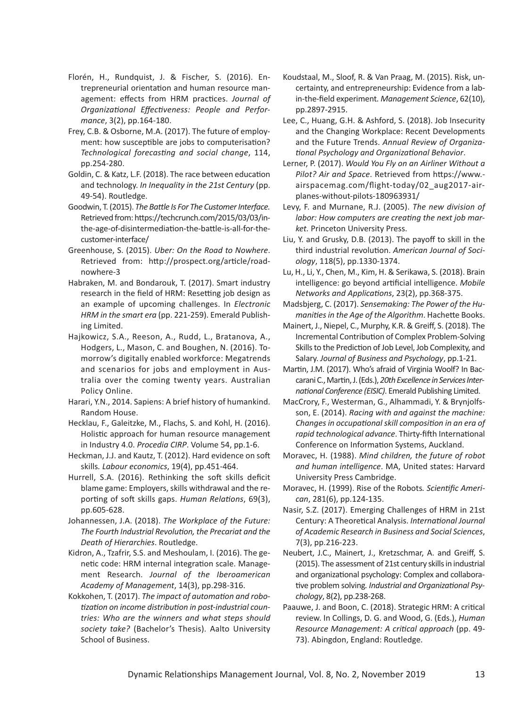- Florén, H., Rundquist, J. & Fischer, S. (2016). En‐ trepreneurial orientation and human resource man‐ agement: effects from HRM practices. *Journal of Organizational Effectiveness: People and Perfor‐ mance*, 3(2), pp.164‐180.
- Frey, C.B. & Osborne, M.A. (2017). The future of employ‐ ment: how susceptible are jobs to computerisation? *Technological forecasting and social change*, 114, pp.254‐280.
- Goldin, C. & Katz, L.F. (2018). The race between education and technology. *In Inequality in the 21st Century* (pp. 49‐54). Routledge.
- Goodwin, T. (2015). *The Battle Is For The Customer Interface.* Retrieved from: https://techcrunch.com/2015/03/03/in‐ the‐age‐of‐disintermediation‐the‐battle‐is‐all‐for‐the‐ customer‐interface/
- Greenhouse, S. (2015). *Uber: On the Road to Nowhere*. Retrieved from: http://prospect.org/article/road‐ nowhere‐3
- Habraken, M. and Bondarouk, T. (2017). Smart industry research in the field of HRM: Resetting job design as an example of upcoming challenges. In *Electronic HRM in the smart era* (pp. 221‐259). Emerald Publish‐ ing Limited.
- Hajkowicz, S.A., Reeson, A., Rudd, L., Bratanova, A., Hodgers, L., Mason, C. and Boughen, N. (2016). To‐ morrow's digitally enabled workforce: Megatrends and scenarios for jobs and employment in Aus‐ tralia over the coming twenty years. Australian Policy Online.
- Harari, Y.N., 2014. Sapiens: A brief history of humankind. Random House.
- Hecklau, F., Galeitzke, M., Flachs, S. and Kohl, H. (2016). Holistic approach for human resource management in Industry 4.0. *Procedia CIRP*. Volume 54, pp.1‐6.
- Heckman, J.J. and Kautz, T. (2012). Hard evidence on soft skills*. Labour economics*, 19(4), pp.451‐464.
- Hurrell, S.A. (2016). Rethinking the soft skills deficit blame game: Employers, skills withdrawal and the re‐ porting of soft skills gaps. *Human Relations*, 69(3), pp.605‐628.
- Johannessen, J.A. (2018). *The Workplace of the Future: The Fourth Industrial Revolution, the Precariat and the Death of Hierarchies*. Routledge.
- Kidron, A., Tzafrir, S.S. and Meshoulam, I. (2016). The ge‐ netic code: HRM internal integration scale. Manage‐ ment Research. *Journal of the Iberoamerican Academy of Management*, 14(3), pp.298‐316.
- Kokkohen, T. (2017). *The impact of automation and robo‐ tization on income distribution in post‐industrial coun‐ tries: Who are the winners and what steps should society take?* (Bachelor's Thesis). Aalto University School of Business.
- Koudstaal, M., Sloof, R. & Van Praag, M. (2015). Risk, un‐ certainty, and entrepreneurship: Evidence from a lab‐ in‐the‐field experiment*. Management Science*, 62(10), pp.2897‐2915.
- Lee, C., Huang, G.H. & Ashford, S. (2018). Job Insecurity and the Changing Workplace: Recent Developments and the Future Trends. *Annual Review of Organiza‐ tional Psychology and Organizational Behavior*.
- Lerner, P. (2017). *Would You Fly on an Airliner Without a Pilot? Air and Space*. Retrieved from https://www. ‐ airspacemag.com/flight‐today/02\_aug2017‐air‐ planes‐without‐pilots‐180963931/
- Levy, F. and Murnane, R.J. (2005). *The new division of labor: How computers are creating the next job mar‐ ket.* Princeton University Press.
- Liu, Y. and Grusky, D.B. (2013). The payoff to skill in the third industrial revolution. *American Journal of Soci‐ ology*, 118(5), pp.1330‐1374.
- Lu, H., Li, Y., Chen, M., Kim, H. & Serikawa, S. (2018). Brain intelligence: go beyond artificial intelligence. *Mobile Networks and Applications*, 23(2), pp.368‐375.
- Madsbjerg, C. (2017). *Sensemaking: The Power of the Hu‐ manities in the Age of the Algorithm*. Hachette Books.
- Mainert, J., Niepel, C., Murphy, K.R. & Greiff, S. (2018). The Incremental Contribution of Complex Problem‐Solving Skills to the Prediction of Job Level, Job Complexity, and Salary. *Journal of Business and Psychology*, pp.1‐21.
- Martin, J.M. (2017). Who's afraid of Virginia Woolf? In Bac‐ carani C., Martin, J. (Eds.), *20th Excellence in Services Inter‐ national Conference (EISIC)*. Emerald Publishing Limited.
- MacCrory, F., Westerman, G., Alhammadi, Y. & Brynjolfs‐ son, E. (2014). *Racing with and against the machine: Changes in occupational skill composition in an era of rapid technological advance*. Thirty‐fifth International Conference on Information Systems, Auckland.
- Moravec, H. (1988). *Mind children, the future of robot and human intelligence*. MA, United states: Harvard University Press Cambridge.
- Moravec, H. (1999). Rise of the Robots*. Scientific Ameri‐ can*, 281(6), pp.124‐135.
- Nasir, S.Z. (2017). Emerging Challenges of HRM in 21st Century: A Theoretical Analysis. *International Journal of Academic Research in Business and Social Sciences*, 7(3), pp.216‐223.
- Neubert, J.C., Mainert, J., Kretzschmar, A. and Greiff, S. (2015). The assessment of 21st century skills in industrial and organizational psychology: Complex and collabora‐ tive problem solving*. Industrial and Organizational Psy‐ chology*, 8(2), pp.238‐268.
- Paauwe, J. and Boon, C. (2018). Strategic HRM: A critical review. In Collings, D. G. and Wood, G. (Eds.), *Human Resource Management: A critical approach* (pp. 49‐ 73). Abingdon, England: Routledge.